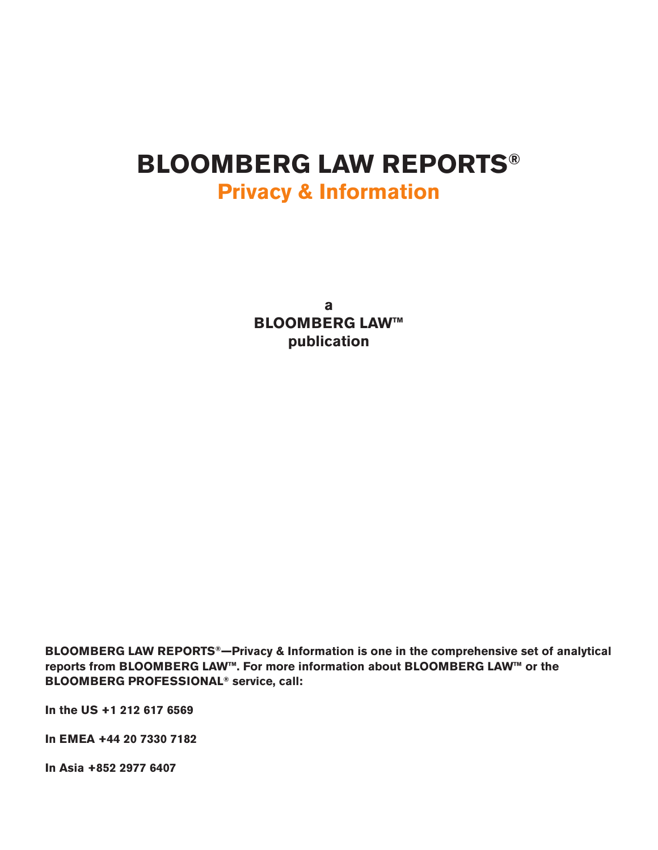# **BLOOMBERG LAW REPORTS® Privacy & Information**

**a BLOOMBERG LAW™ publication**

**BLOOMBERG LAW REPORTS®—Privacy & Information is one in the comprehensive set of analytical reports from BLOOMBERG LAW™. For more information about BLOOMBERG LAW™ or the BLOOMBERG PROFESSIONAL® service, call:**

**In the US +1 212 617 6569**

**In EMEA +44 20 7330 7182**

**In Asia +852 2977 6407**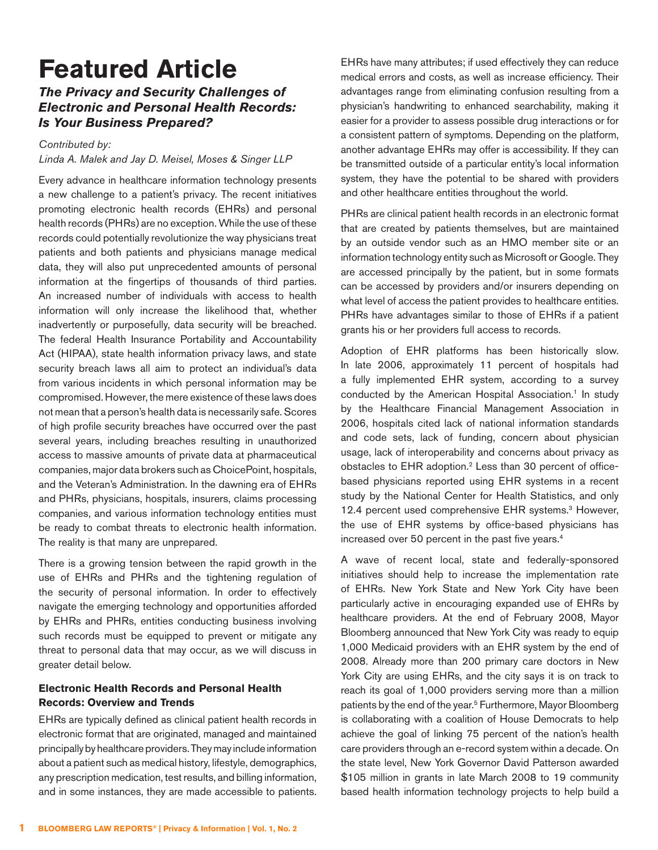# **Featured Article**

# **The Privacy and Security Challenges of Electronic and Personal Health Records: Is Your Business Prepared?**

#### Contributed by:

#### Linda A. Malek and Jay D. Meisel, Moses & Singer LLP

Every advance in healthcare information technology presents a new challenge to a patient's privacy. The recent initiatives promoting electronic health records (EHRs) and personal health records (PHRs) are no exception. While the use of these records could potentially revolutionize the way physicians treat patients and both patients and physicians manage medical data, they will also put unprecedented amounts of personal information at the fingertips of thousands of third parties. An increased number of individuals with access to health information will only increase the likelihood that, whether inadvertently or purposefully, data security will be breached. The federal Health Insurance Portability and Accountability Act (HIPAA), state health information privacy laws, and state security breach laws all aim to protect an individual's data from various incidents in which personal information may be compromised. However, the mere existence of these laws does not mean that a person's health data is necessarily safe. Scores of high profile security breaches have occurred over the past several years, including breaches resulting in unauthorized access to massive amounts of private data at pharmaceutical companies, major data brokers such as ChoicePoint, hospitals, and the Veteran's Administration. In the dawning era of EHRs and PHRs, physicians, hospitals, insurers, claims processing companies, and various information technology entities must be ready to combat threats to electronic health information. The reality is that many are unprepared.

There is a growing tension between the rapid growth in the use of EHRs and PHRs and the tightening regulation of the security of personal information. In order to effectively navigate the emerging technology and opportunities afforded by EHRs and PHRs, entities conducting business involving such records must be equipped to prevent or mitigate any threat to personal data that may occur, as we will discuss in greater detail below.

## **Electronic Health Records and Personal Health Records: Overview and Trends**

EHRs are typically defined as clinical patient health records in electronic format that are originated, managed and maintained principally by healthcare providers. They may include information about a patient such as medical history, lifestyle, demographics, any prescription medication, test results, and billing information, and in some instances, they are made accessible to patients.

EHRs have many attributes; if used effectively they can reduce medical errors and costs, as well as increase efficiency. Their advantages range from eliminating confusion resulting from a physician's handwriting to enhanced searchability, making it easier for a provider to assess possible drug interactions or for a consistent pattern of symptoms. Depending on the platform, another advantage EHRs may offer is accessibility. If they can be transmitted outside of a particular entity's local information system, they have the potential to be shared with providers and other healthcare entities throughout the world.

PHRs are clinical patient health records in an electronic format that are created by patients themselves, but are maintained by an outside vendor such as an HMO member site or an information technology entity such as Microsoft or Google. They are accessed principally by the patient, but in some formats can be accessed by providers and/or insurers depending on what level of access the patient provides to healthcare entities. PHRs have advantages similar to those of EHRs if a patient grants his or her providers full access to records.

Adoption of EHR platforms has been historically slow. In late 2006, approximately 11 percent of hospitals had a fully implemented EHR system, according to a survey conducted by the American Hospital Association.<sup>[1](#page-5-0)</sup> In study by the Healthcare Financial Management Association in 2006, hospitals cited lack of national information standards and code sets, lack of funding, concern about physician usage, lack of interoperability and concerns about privacy as obstacles to EHR adoption[.2](#page-5-1) Less than 30 percent of officebased physicians reported using EHR systems in a recent study by the National Center for Health Statistics, and only 12.4 percent used comprehensive EHR systems.<sup>3</sup> However, the use of EHR systems by office-based physicians has increased over 50 percent in the past five years.[4](#page-5-3)

A wave of recent local, state and federally-sponsored initiatives should help to increase the implementation rate of EHRs. New York State and New York City have been particularly active in encouraging expanded use of EHRs by healthcare providers. At the end of February 2008, Mayor Bloomberg announced that New York City was ready to equip 1,000 Medicaid providers with an EHR system by the end of 2008. Already more than 200 primary care doctors in New York City are using EHRs, and the city says it is on track to reach its goal of 1,000 providers serving more than a million patients by the end of the year[.5](#page-5-4) Furthermore, Mayor Bloomberg is collaborating with a coalition of House Democrats to help achieve the goal of linking 75 percent of the nation's health care providers through an e-record system within a decade. On the state level, New York Governor David Patterson awarded \$105 million in grants in late March 2008 to 19 community based health information technology projects to help build a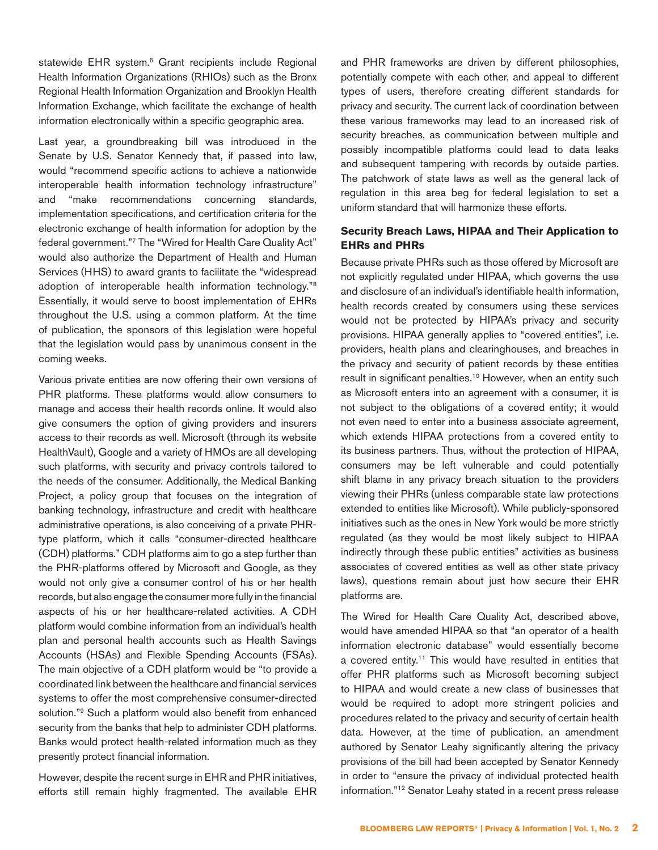statewide EHR system.<sup>6</sup> Grant recipients include Regional Health Information Organizations (RHIOs) such as the Bronx Regional Health Information Organization and Brooklyn Health Information Exchange, which facilitate the exchange of health information electronically within a specific geographic area.

Last year, a groundbreaking bill was introduced in the Senate by U.S. Senator Kennedy that, if passed into law, would "recommend specific actions to achieve a nationwide interoperable health information technology infrastructure" and "make recommendations concerning standards, implementation specifications, and certification criteria for the electronic exchange of health information for adoption by the federal government.["7](#page-5-6) The "Wired for Health Care Quality Act" would also authorize the Department of Health and Human Services (HHS) to award grants to facilitate the "widespread adoption of interoperable health information technology.["8](#page-5-7) Essentially, it would serve to boost implementation of EHRs throughout the U.S. using a common platform. At the time of publication, the sponsors of this legislation were hopeful that the legislation would pass by unanimous consent in the coming weeks.

Various private entities are now offering their own versions of PHR platforms. These platforms would allow consumers to manage and access their health records online. It would also give consumers the option of giving providers and insurers access to their records as well. Microsoft (through its website HealthVault), Google and a variety of HMOs are all developing such platforms, with security and privacy controls tailored to the needs of the consumer. Additionally, the Medical Banking Project, a policy group that focuses on the integration of banking technology, infrastructure and credit with healthcare administrative operations, is also conceiving of a private PHRtype platform, which it calls "consumer-directed healthcare (CDH) platforms." CDH platforms aim to go a step further than the PHR-platforms offered by Microsoft and Google, as they would not only give a consumer control of his or her health records, but also engage the consumer more fully in the financial aspects of his or her healthcare-related activities. A CDH platform would combine information from an individual's health plan and personal health accounts such as Health Savings Accounts (HSAs) and Flexible Spending Accounts (FSAs). The main objective of a CDH platform would be "to provide a coordinated link between the healthcare and financial services systems to offer the most comprehensive consumer-directed solution."[9](#page-5-8) Such a platform would also benefit from enhanced security from the banks that help to administer CDH platforms. Banks would protect health-related information much as they presently protect financial information.

However, despite the recent surge in EHR and PHR initiatives, efforts still remain highly fragmented. The available EHR and PHR frameworks are driven by different philosophies, potentially compete with each other, and appeal to different types of users, therefore creating different standards for privacy and security. The current lack of coordination between these various frameworks may lead to an increased risk of security breaches, as communication between multiple and possibly incompatible platforms could lead to data leaks and subsequent tampering with records by outside parties. The patchwork of state laws as well as the general lack of regulation in this area beg for federal legislation to set a uniform standard that will harmonize these efforts.

### **Security Breach Laws, HIPAA and Their Application to EHRs and PHRs**

Because private PHRs such as those offered by Microsoft are not explicitly regulated under HIPAA, which governs the use and disclosure of an individual's identifiable health information, health records created by consumers using these services would not be protected by HIPAA's privacy and security provisions. HIPAA generally applies to "covered entities", i.e. providers, health plans and clearinghouses, and breaches in the privacy and security of patient records by these entities result in significant penalties.<sup>[10](#page-5-9)</sup> However, when an entity such as Microsoft enters into an agreement with a consumer, it is not subject to the obligations of a covered entity; it would not even need to enter into a business associate agreement, which extends HIPAA protections from a covered entity to its business partners. Thus, without the protection of HIPAA, consumers may be left vulnerable and could potentially shift blame in any privacy breach situation to the providers viewing their PHRs (unless comparable state law protections extended to entities like Microsoft). While publicly-sponsored initiatives such as the ones in New York would be more strictly regulated (as they would be most likely subject to HIPAA indirectly through these public entities" activities as business associates of covered entities as well as other state privacy laws), questions remain about just how secure their EHR platforms are.

The Wired for Health Care Quality Act, described above, would have amended HIPAA so that "an operator of a health information electronic database" would essentially become a covered entity.<sup>11</sup> This would have resulted in entities that offer PHR platforms such as Microsoft becoming subject to HIPAA and would create a new class of businesses that would be required to adopt more stringent policies and procedures related to the privacy and security of certain health data. However, at the time of publication, an amendment authored by Senator Leahy significantly altering the privacy provisions of the bill had been accepted by Senator Kennedy in order to "ensure the privacy of individual protected health information.["12](#page-5-11) Senator Leahy stated in a recent press release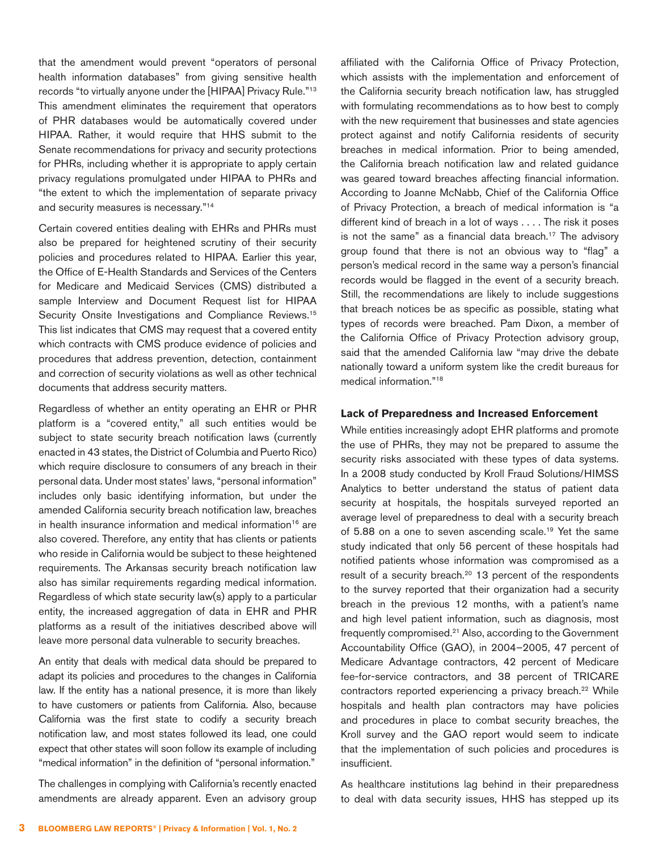that the amendment would prevent "operators of personal health information databases" from giving sensitive health records "to virtually anyone under the [HIPAA] Privacy Rule."[13](#page-5-12) This amendment eliminates the requirement that operators of PHR databases would be automatically covered under HIPAA. Rather, it would require that HHS submit to the Senate recommendations for privacy and security protections for PHRs, including whether it is appropriate to apply certain privacy regulations promulgated under HIPAA to PHRs and "the extent to which the implementation of separate privacy and security measures is necessary.["14](#page-5-13)

Certain covered entities dealing with EHRs and PHRs must also be prepared for heightened scrutiny of their security policies and procedures related to HIPAA. Earlier this year, the Office of E-Health Standards and Services of the Centers for Medicare and Medicaid Services (CMS) distributed a sample Interview and Document Request list for HIPAA Security Onsite Investigations and Compliance Reviews.<sup>[15](#page-5-14)</sup> This list indicates that CMS may request that a covered entity which contracts with CMS produce evidence of policies and procedures that address prevention, detection, containment and correction of security violations as well as other technical documents that address security matters.

Regardless of whether an entity operating an EHR or PHR platform is a "covered entity," all such entities would be subject to state security breach notification laws (currently enacted in 43 states, the District of Columbia and Puerto Rico) which require disclosure to consumers of any breach in their personal data. Under most states' laws, "personal information" includes only basic identifying information, but under the amended California security breach notification law, breaches in health insurance information and medical information<sup>16</sup> are also covered. Therefore, any entity that has clients or patients who reside in California would be subject to these heightened requirements. The Arkansas security breach notification law also has similar requirements regarding medical information. Regardless of which state security law(s) apply to a particular entity, the increased aggregation of data in EHR and PHR platforms as a result of the initiatives described above will leave more personal data vulnerable to security breaches.

An entity that deals with medical data should be prepared to adapt its policies and procedures to the changes in California law. If the entity has a national presence, it is more than likely to have customers or patients from California. Also, because California was the first state to codify a security breach notification law, and most states followed its lead, one could expect that other states will soon follow its example of including "medical information" in the definition of "personal information."

The challenges in complying with California's recently enacted amendments are already apparent. Even an advisory group affiliated with the California Office of Privacy Protection, which assists with the implementation and enforcement of the California security breach notification law, has struggled with formulating recommendations as to how best to comply with the new requirement that businesses and state agencies protect against and notify California residents of security breaches in medical information. Prior to being amended, the California breach notification law and related guidance was geared toward breaches affecting financial information. According to Joanne McNabb, Chief of the California Office of Privacy Protection, a breach of medical information is "a different kind of breach in a lot of ways . . . . The risk it poses is not the same" as a financial data breach.<sup>17</sup> The advisory group found that there is not an obvious way to "flag" a person's medical record in the same way a person's financial records would be flagged in the event of a security breach. Still, the recommendations are likely to include suggestions that breach notices be as specific as possible, stating what types of records were breached. Pam Dixon, a member of the California Office of Privacy Protection advisory group, said that the amended California law "may drive the debate nationally toward a uniform system like the credit bureaus for medical information."[18](#page-5-17)

#### **Lack of Preparedness and Increased Enforcement**

While entities increasingly adopt EHR platforms and promote the use of PHRs, they may not be prepared to assume the security risks associated with these types of data systems. In a 2008 study conducted by Kroll Fraud Solutions/HIMSS Analytics to better understand the status of patient data security at hospitals, the hospitals surveyed reported an average level of preparedness to deal with a security breach of 5.88 on a one to seven ascending scale.<sup>19</sup> Yet the same study indicated that only 56 percent of these hospitals had notified patients whose information was compromised as a result of a security breach.<sup>20</sup> 13 percent of the respondents to the survey reported that their organization had a security breach in the previous 12 months, with a patient's name and high level patient information, such as diagnosis, most frequently compromised[.21](#page-5-20) Also, according to the Government Accountability Office (GAO), in 2004–2005, 47 percent of Medicare Advantage contractors, 42 percent of Medicare fee-for-service contractors, and 38 percent of TRICARE contractors reported experiencing a privacy breach.<sup>22</sup> While hospitals and health plan contractors may have policies and procedures in place to combat security breaches, the Kroll survey and the GAO report would seem to indicate that the implementation of such policies and procedures is insufficient.

As healthcare institutions lag behind in their preparedness to deal with data security issues, HHS has stepped up its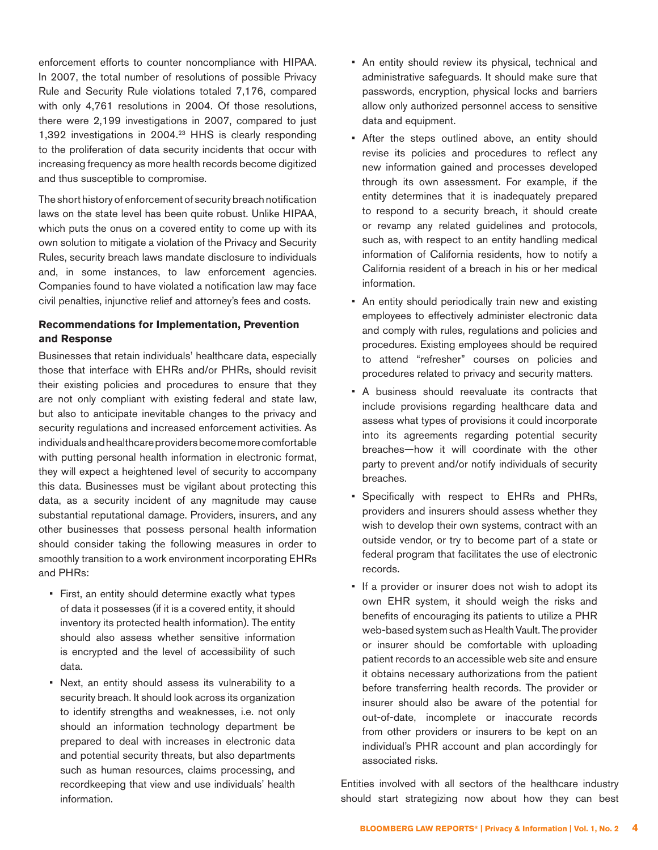enforcement efforts to counter noncompliance with HIPAA. In 2007, the total number of resolutions of possible Privacy Rule and Security Rule violations totaled 7,176, compared with only 4,761 resolutions in 2004. Of those resolutions, there were 2,199 investigations in 2007, compared to just 1,392 investigations in 2004.[23](#page-5-22) HHS is clearly responding to the proliferation of data security incidents that occur with increasing frequency as more health records become digitized and thus susceptible to compromise.

The short history of enforcement of security breach notification laws on the state level has been quite robust. Unlike HIPAA, which puts the onus on a covered entity to come up with its own solution to mitigate a violation of the Privacy and Security Rules, security breach laws mandate disclosure to individuals and, in some instances, to law enforcement agencies. Companies found to have violated a notification law may face civil penalties, injunctive relief and attorney's fees and costs.

### **Recommendations for Implementation, Prevention and Response**

Businesses that retain individuals' healthcare data, especially those that interface with EHRs and/or PHRs, should revisit their existing policies and procedures to ensure that they are not only compliant with existing federal and state law, but also to anticipate inevitable changes to the privacy and security regulations and increased enforcement activities. As individuals and healthcare providers become more comfortable with putting personal health information in electronic format, they will expect a heightened level of security to accompany this data. Businesses must be vigilant about protecting this data, as a security incident of any magnitude may cause substantial reputational damage. Providers, insurers, and any other businesses that possess personal health information should consider taking the following measures in order to smoothly transition to a work environment incorporating EHRs and PHRs:

- First, an entity should determine exactly what types of data it possesses (if it is a covered entity, it should inventory its protected health information). The entity should also assess whether sensitive information is encrypted and the level of accessibility of such data.
- Next, an entity should assess its vulnerability to a security breach. It should look across its organization to identify strengths and weaknesses, i.e. not only should an information technology department be prepared to deal with increases in electronic data and potential security threats, but also departments such as human resources, claims processing, and recordkeeping that view and use individuals' health information.
- An entity should review its physical, technical and administrative safeguards. It should make sure that passwords, encryption, physical locks and barriers allow only authorized personnel access to sensitive data and equipment.
- After the steps outlined above, an entity should revise its policies and procedures to reflect any new information gained and processes developed through its own assessment. For example, if the entity determines that it is inadequately prepared to respond to a security breach, it should create or revamp any related guidelines and protocols, such as, with respect to an entity handling medical information of California residents, how to notify a California resident of a breach in his or her medical information.
- An entity should periodically train new and existing employees to effectively administer electronic data and comply with rules, regulations and policies and procedures. Existing employees should be required to attend "refresher" courses on policies and procedures related to privacy and security matters.
- A business should reevaluate its contracts that include provisions regarding healthcare data and assess what types of provisions it could incorporate into its agreements regarding potential security breaches—how it will coordinate with the other party to prevent and/or notify individuals of security breaches.
- Specifically with respect to EHRs and PHRs, providers and insurers should assess whether they wish to develop their own systems, contract with an outside vendor, or try to become part of a state or federal program that facilitates the use of electronic records.
- If a provider or insurer does not wish to adopt its own EHR system, it should weigh the risks and benefits of encouraging its patients to utilize a PHR web-based system such as Health Vault. The provider or insurer should be comfortable with uploading patient records to an accessible web site and ensure it obtains necessary authorizations from the patient before transferring health records. The provider or insurer should also be aware of the potential for out-of-date, incomplete or inaccurate records from other providers or insurers to be kept on an individual's PHR account and plan accordingly for associated risks.

Entities involved with all sectors of the healthcare industry should start strategizing now about how they can best